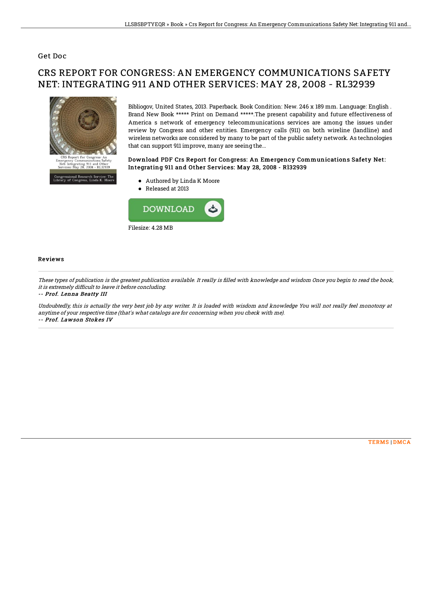### Get Doc

# CRS REPORT FOR CONGRESS: AN EMERGENCY COMMUNICATIONS SAFETY NET: INTEGRATING 911 AND OTHER SERVICES: MAY 28, 2008 - RL32939



Bibliogov, United States, 2013. Paperback. Book Condition: New. 246 x 189 mm. Language: English . Brand New Book \*\*\*\*\* Print on Demand \*\*\*\*\*.The present capability and future effectiveness of America s network of emergency telecommunications services are among the issues under review by Congress and other entities. Emergency calls (911) on both wireline (landline) and wireless networks are considered by many to be part of the public safety network. As technologies that can support 911 improve, many are seeing the...

#### Download PDF Crs Report for Congress: An Emergency Communications Safety Net: Integrating 911 and Other Services: May 28, 2008 - Rl32939

- Authored by Linda K Moore
- Released at 2013



#### Reviews

These types of publication is the greatest publication available. It really is filled with knowledge and wisdom Once you begin to read the book, it is extremely difficult to leave it before concluding.

#### -- Prof. Lenna Beatty III

Undoubtedly, this is actually the very best job by any writer. It is loaded with wisdom and knowledge You will not really feel monotony at anytime of your respective time (that's what catalogs are for concerning when you check with me). -- Prof. Lawson Stokes IV